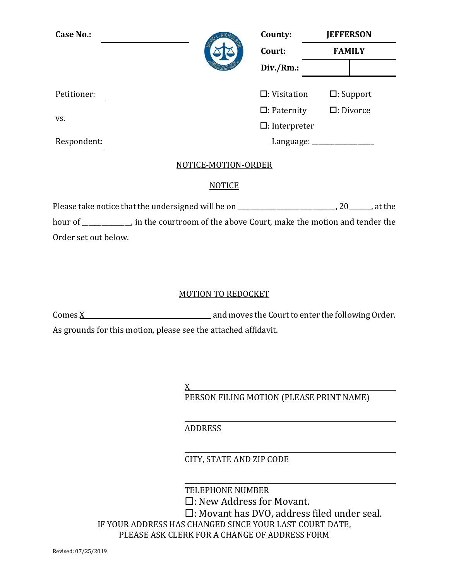| <b>Case No.:</b> |          | County:                 | <b>JEFFERSON</b>    |
|------------------|----------|-------------------------|---------------------|
|                  |          | Court:                  | <b>FAMILY</b>       |
|                  |          | Div./Rm.:               |                     |
|                  |          |                         |                     |
| Petitioner:      |          | $\Box$ : Visitation     | $\Box$ : Support    |
|                  |          | $\Box$ : Paternity      | $\square$ : Divorce |
| VS.              |          | $\square$ : Interpreter |                     |
| Respondent:      |          | Language:               |                     |
|                  | $\cdots$ |                         |                     |

#### NOTICE-MOTION-ORDER

## **NOTICE**

Please take notice that the undersigned will be on \_\_\_\_\_\_\_\_\_\_\_\_\_\_\_\_\_\_\_\_\_\_\_\_\_\_\_\_, 20\_\_\_\_\_\_, at the hour of \_\_\_\_\_\_\_\_\_\_, in the courtroom of the above Court, make the motion and tender the Order set out below.

# MOTION TO REDOCKET

 $\frac{X}{X}$  and moves the Court to enter the following Order. As grounds for this motion, please see the attached affidavit.

> $\underline{X}$ PERSON FILING MOTION (PLEASE PRINT NAME)

# ADDRESS

CITY, STATE AND ZIP CODE

TELEPHONE NUMBER

- : New Address for Movant.
- : Movant has DVO, address filed under seal.

IF YOUR ADDRESS HAS CHANGED SINCE YOUR LAST COURT DATE, PLEASE ASK CLERK FOR A CHANGE OF ADDRESS FORM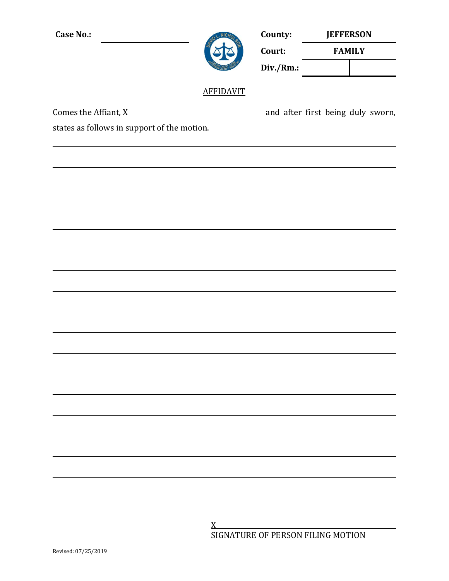| <b>Case No.:</b>                                                     | County:<br>Court: | <b>JEFFERSON</b> |               |  |  |  |
|----------------------------------------------------------------------|-------------------|------------------|---------------|--|--|--|
|                                                                      |                   |                  | <b>FAMILY</b> |  |  |  |
|                                                                      |                   | Div./Rm.:        |               |  |  |  |
|                                                                      | <b>AFFIDAVIT</b>  |                  |               |  |  |  |
| Comes the Affiant, $\underline{X}$ and after first being duly sworn, |                   |                  |               |  |  |  |
| states as follows in support of the motion.                          |                   |                  |               |  |  |  |
|                                                                      |                   |                  |               |  |  |  |
|                                                                      |                   |                  |               |  |  |  |
|                                                                      |                   |                  |               |  |  |  |
|                                                                      |                   |                  |               |  |  |  |
|                                                                      |                   |                  |               |  |  |  |
|                                                                      |                   |                  |               |  |  |  |
|                                                                      |                   |                  |               |  |  |  |
|                                                                      |                   |                  |               |  |  |  |
|                                                                      |                   |                  |               |  |  |  |
|                                                                      |                   |                  |               |  |  |  |
|                                                                      |                   |                  |               |  |  |  |
|                                                                      |                   |                  |               |  |  |  |
|                                                                      |                   |                  |               |  |  |  |
|                                                                      |                   |                  |               |  |  |  |
|                                                                      |                   |                  |               |  |  |  |
|                                                                      |                   |                  |               |  |  |  |
|                                                                      |                   |                  |               |  |  |  |
|                                                                      |                   |                  |               |  |  |  |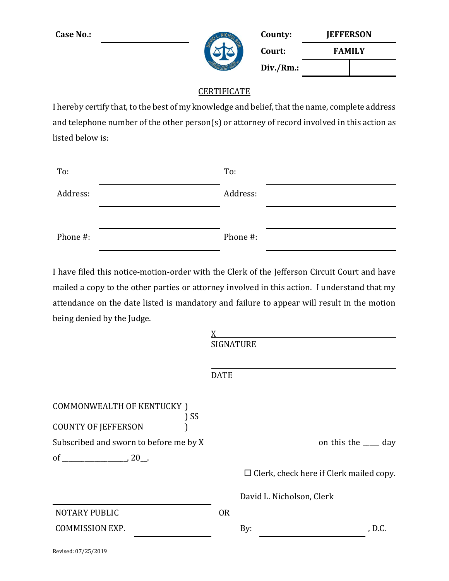

| <b>Case No.:</b> | County:   | <b>JEFFERSON</b> |  |  |
|------------------|-----------|------------------|--|--|
|                  | Court:    | <b>FAMILY</b>    |  |  |
|                  | Div./Rm.: |                  |  |  |

## **CERTIFICATE**

I hereby certify that, to the best of my knowledge and belief, that the name, complete address and telephone number of the other person(s) or attorney of record involved in this action as listed below is:

| To:      | To:      |  |
|----------|----------|--|
| Address: | Address: |  |
|          |          |  |
|          |          |  |

I have filed this notice-motion-order with the Clerk of the Jefferson Circuit Court and have mailed a copy to the other parties or attorney involved in this action. I understand that my attendance on the date listed is mandatory and failure to appear will result in the motion being denied by the Judge.

|                                        | <b>SIGNATURE</b> |                                                |
|----------------------------------------|------------------|------------------------------------------------|
|                                        | <b>DATE</b>      |                                                |
| COMMONWEALTH OF KENTUCKY )<br>) SS     |                  |                                                |
| <b>COUNTY OF JEFFERSON</b>             |                  |                                                |
| Subscribed and sworn to before me by X |                  | and this the same on this the same day         |
|                                        |                  |                                                |
|                                        |                  | $\Box$ Clerk, check here if Clerk mailed copy. |
|                                        |                  | David L. Nicholson, Clerk                      |
| <b>NOTARY PUBLIC</b>                   | <b>OR</b>        |                                                |
| <b>COMMISSION EXP.</b>                 |                  | By:<br>, D.C.                                  |